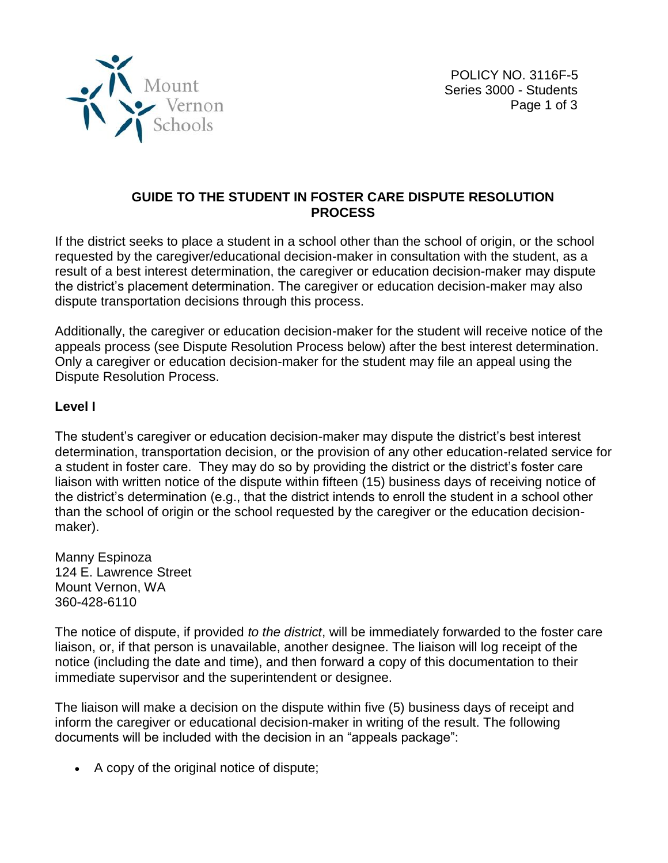

## **GUIDE TO THE STUDENT IN FOSTER CARE DISPUTE RESOLUTION PROCESS**

If the district seeks to place a student in a school other than the school of origin, or the school requested by the caregiver/educational decision-maker in consultation with the student, as a result of a best interest determination, the caregiver or education decision-maker may dispute the district's placement determination. The caregiver or education decision-maker may also dispute transportation decisions through this process.

Additionally, the caregiver or education decision-maker for the student will receive notice of the appeals process (see Dispute Resolution Process below) after the best interest determination. Only a caregiver or education decision-maker for the student may file an appeal using the Dispute Resolution Process.

## **Level I**

The student's caregiver or education decision-maker may dispute the district's best interest determination, transportation decision, or the provision of any other education-related service for a student in foster care. They may do so by providing the district or the district's foster care liaison with written notice of the dispute within fifteen (15) business days of receiving notice of the district's determination (e.g., that the district intends to enroll the student in a school other than the school of origin or the school requested by the caregiver or the education decisionmaker).

Manny Espinoza 124 E. Lawrence Street Mount Vernon, WA 360-428-6110

The notice of dispute, if provided *to the district*, will be immediately forwarded to the foster care liaison, or, if that person is unavailable, another designee. The liaison will log receipt of the notice (including the date and time), and then forward a copy of this documentation to their immediate supervisor and the superintendent or designee.

The liaison will make a decision on the dispute within five (5) business days of receipt and inform the caregiver or educational decision-maker in writing of the result. The following documents will be included with the decision in an "appeals package":

A copy of the original notice of dispute;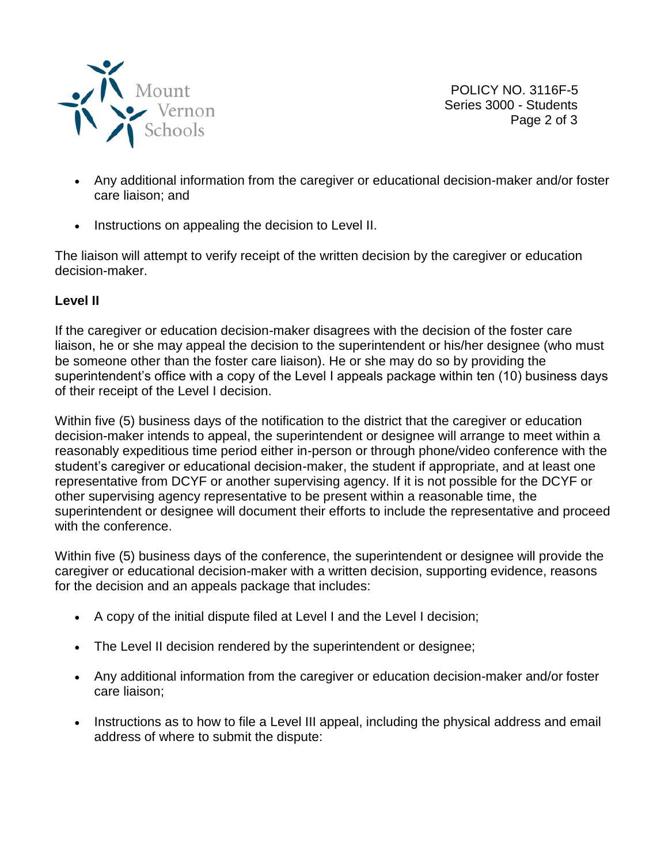

POLICY NO. 3116F-5 Series 3000 - Students Page 2 of 3

- Any additional information from the caregiver or educational decision-maker and/or foster care liaison; and
- Instructions on appealing the decision to Level II.

The liaison will attempt to verify receipt of the written decision by the caregiver or education decision-maker.

## **Level II**

If the caregiver or education decision-maker disagrees with the decision of the foster care liaison, he or she may appeal the decision to the superintendent or his/her designee (who must be someone other than the foster care liaison). He or she may do so by providing the superintendent's office with a copy of the Level I appeals package within ten (10) business days of their receipt of the Level I decision.

Within five (5) business days of the notification to the district that the caregiver or education decision-maker intends to appeal, the superintendent or designee will arrange to meet within a reasonably expeditious time period either in-person or through phone/video conference with the student's caregiver or educational decision-maker, the student if appropriate, and at least one representative from DCYF or another supervising agency. If it is not possible for the DCYF or other supervising agency representative to be present within a reasonable time, the superintendent or designee will document their efforts to include the representative and proceed with the conference.

Within five (5) business days of the conference, the superintendent or designee will provide the caregiver or educational decision-maker with a written decision, supporting evidence, reasons for the decision and an appeals package that includes:

- A copy of the initial dispute filed at Level I and the Level I decision;
- The Level II decision rendered by the superintendent or designee;
- Any additional information from the caregiver or education decision-maker and/or foster care liaison;
- Instructions as to how to file a Level III appeal, including the physical address and email address of where to submit the dispute: